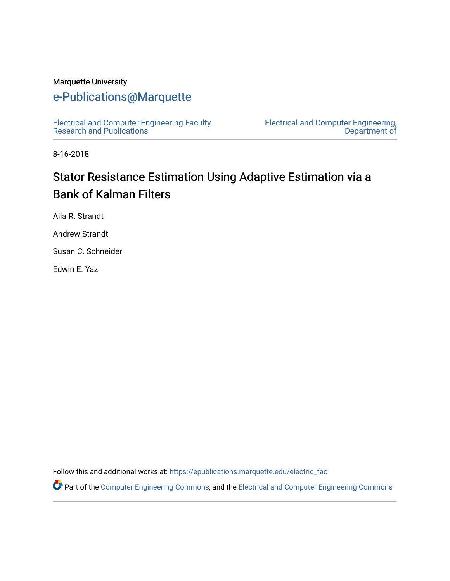#### Marquette University

## [e-Publications@Marquette](https://epublications.marquette.edu/)

[Electrical and Computer Engineering Faculty](https://epublications.marquette.edu/electric_fac) [Research and Publications](https://epublications.marquette.edu/electric_fac) 

[Electrical and Computer Engineering,](https://epublications.marquette.edu/electric)  [Department of](https://epublications.marquette.edu/electric) 

8-16-2018

# Stator Resistance Estimation Using Adaptive Estimation via a Bank of Kalman Filters

Alia R. Strandt

Andrew Strandt

Susan C. Schneider

Edwin E. Yaz

Follow this and additional works at: [https://epublications.marquette.edu/electric\\_fac](https://epublications.marquette.edu/electric_fac?utm_source=epublications.marquette.edu%2Felectric_fac%2F629&utm_medium=PDF&utm_campaign=PDFCoverPages) 

Part of the [Computer Engineering Commons,](http://network.bepress.com/hgg/discipline/258?utm_source=epublications.marquette.edu%2Felectric_fac%2F629&utm_medium=PDF&utm_campaign=PDFCoverPages) and the [Electrical and Computer Engineering Commons](http://network.bepress.com/hgg/discipline/266?utm_source=epublications.marquette.edu%2Felectric_fac%2F629&utm_medium=PDF&utm_campaign=PDFCoverPages)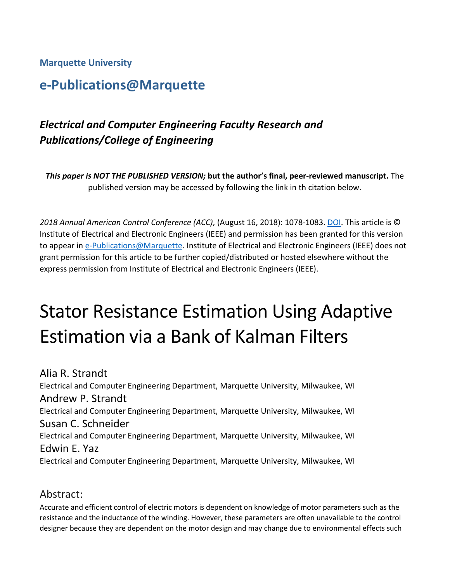**Marquette University**

# **e-Publications@Marquette**

## *Electrical and Computer Engineering Faculty Research and Publications/College of Engineering*

*This paper is NOT THE PUBLISHED VERSION;* **but the author's final, peer-reviewed manuscript.** The published version may be accessed by following the link in th citation below.

*2018 Annual American Control Conference (ACC)*, (August 16, 2018): 1078-1083[. DOI.](https://doi.org/10.23919/ACC.2018.8431243) This article is © Institute of Electrical and Electronic Engineers (IEEE) and permission has been granted for this version to appear in [e-Publications@Marquette.](http://epublications.marquette.edu/) Institute of Electrical and Electronic Engineers (IEEE) does not grant permission for this article to be further copied/distributed or hosted elsewhere without the express permission from Institute of Electrical and Electronic Engineers (IEEE).

# Stator Resistance Estimation Using Adaptive Estimation via a Bank of Kalman Filters

Alia R. Strandt Electrical and Computer Engineering Department, Marquette University, Milwaukee, WI Andrew P. Strandt Electrical and Computer Engineering Department, Marquette University, Milwaukee, WI Susan C. Schneider Electrical and Computer Engineering Department, Marquette University, Milwaukee, WI Edwin E. Yaz Electrical and Computer Engineering Department, Marquette University, Milwaukee, WI

## Abstract:

Accurate and efficient control of electric motors is dependent on knowledge of motor parameters such as the resistance and the inductance of the winding. However, these parameters are often unavailable to the control designer because they are dependent on the motor design and may change due to environmental effects such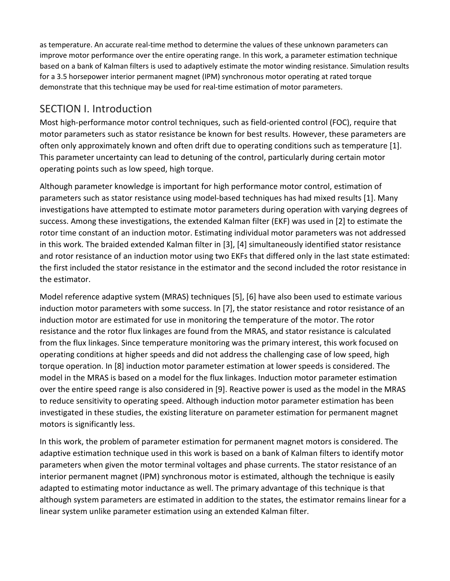as temperature. An accurate real-time method to determine the values of these unknown parameters can improve motor performance over the entire operating range. In this work, a parameter estimation technique based on a bank of Kalman filters is used to adaptively estimate the motor winding resistance. Simulation results for a 3.5 horsepower interior permanent magnet (IPM) synchronous motor operating at rated torque demonstrate that this technique may be used for real-time estimation of motor parameters.

## SECTION I. Introduction

Most high-performance motor control techniques, such as field-oriented control (FOC), require that motor parameters such as stator resistance be known for best results. However, these parameters are often only approximately known and often drift due to operating conditions such as temperature [1]. This parameter uncertainty can lead to detuning of the control, particularly during certain motor operating points such as low speed, high torque.

Although parameter knowledge is important for high performance motor control, estimation of parameters such as stator resistance using model-based techniques has had mixed results [1]. Many investigations have attempted to estimate motor parameters during operation with varying degrees of success. Among these investigations, the extended Kalman filter (EKF) was used in [2] to estimate the rotor time constant of an induction motor. Estimating individual motor parameters was not addressed in this work. The braided extended Kalman filter in [3], [4] simultaneously identified stator resistance and rotor resistance of an induction motor using two EKFs that differed only in the last state estimated: the first included the stator resistance in the estimator and the second included the rotor resistance in the estimator.

Model reference adaptive system (MRAS) techniques [5], [6] have also been used to estimate various induction motor parameters with some success. In [7], the stator resistance and rotor resistance of an induction motor are estimated for use in monitoring the temperature of the motor. The rotor resistance and the rotor flux linkages are found from the MRAS, and stator resistance is calculated from the flux linkages. Since temperature monitoring was the primary interest, this work focused on operating conditions at higher speeds and did not address the challenging case of low speed, high torque operation. In [8] induction motor parameter estimation at lower speeds is considered. The model in the MRAS is based on a model for the flux linkages. Induction motor parameter estimation over the entire speed range is also considered in [9]. Reactive power is used as the model in the MRAS to reduce sensitivity to operating speed. Although induction motor parameter estimation has been investigated in these studies, the existing literature on parameter estimation for permanent magnet motors is significantly less.

In this work, the problem of parameter estimation for permanent magnet motors is considered. The adaptive estimation technique used in this work is based on a bank of Kalman filters to identify motor parameters when given the motor terminal voltages and phase currents. The stator resistance of an interior permanent magnet (IPM) synchronous motor is estimated, although the technique is easily adapted to estimating motor inductance as well. The primary advantage of this technique is that although system parameters are estimated in addition to the states, the estimator remains linear for a linear system unlike parameter estimation using an extended Kalman filter.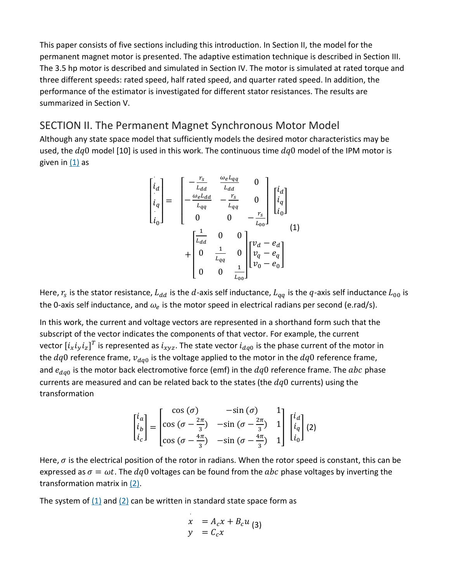This paper consists of five sections including this introduction. In Section II, the model for the permanent magnet motor is presented. The adaptive estimation technique is described in Section III. The 3.5 hp motor is described and simulated in Section IV. The motor is simulated at rated torque and three different speeds: rated speed, half rated speed, and quarter rated speed. In addition, the performance of the estimator is investigated for different stator resistances. The results are summarized in Section V.

#### SECTION II. The Permanent Magnet Synchronous Motor Model

Although any state space model that sufficiently models the desired motor characteristics may be used, the  $dq0$  model [10] is used in this work. The continuous time  $dq0$  model of the IPM motor is given in  $(1)$  as

$$
\begin{bmatrix} i_d \\ i_q \\ i_0 \end{bmatrix} = \begin{bmatrix} -\frac{r_s}{L_{dd}} & \frac{\omega_e L_{qq}}{L_{dd}} & 0 \\ -\frac{\omega_e L_{dd}}{L_{qq}} & -\frac{r_s}{L_{qq}} & 0 \\ 0 & 0 & -\frac{r_s}{L_{00}} \end{bmatrix} \begin{bmatrix} i_d \\ i_q \\ i_0 \end{bmatrix}
$$

$$
+ \begin{bmatrix} \frac{1}{L_{dd}} & 0 & 0 \\ 0 & \frac{1}{L_{qq}} & 0 \\ 0 & 0 & \frac{1}{L_{00}} \end{bmatrix} \begin{bmatrix} \nu_d - e_d \\ \nu_q - e_q \\ \nu_0 - e_0 \end{bmatrix}
$$
(1)

Here,  $r_s$  is the stator resistance,  $L_{dd}$  is the d-axis self inductance,  $L_{qq}$  is the q-axis self inductance  $L_{00}$  is the 0-axis self inductance, and  $\omega_e$  is the motor speed in electrical radians per second (e.rad/s).

In this work, the current and voltage vectors are represented in a shorthand form such that the subscript of the vector indicates the components of that vector. For example, the current vector  $[i_xi_yi_z]^T$  is represented as  $i_{xyz}$ . The state vector  $i_{dq0}$  is the phase current of the motor in the  $dq0$  reference frame,  $v_{dq0}$  is the voltage applied to the motor in the  $dq0$  reference frame, and  $e_{dq0}$  is the motor back electromotive force (emf) in the  $dq0$  reference frame. The  $abc$  phase currents are measured and can be related back to the states (the  $dq0$  currents) using the transformation

$$
\begin{bmatrix} i_a \\ i_b \\ i_c \end{bmatrix} = \begin{bmatrix} \cos{(\sigma)} & -\sin{(\sigma)} & 1 \\ \cos{(\sigma - \frac{2\pi}{3})} & -\sin{(\sigma - \frac{2\pi}{3})} & 1 \\ \cos{(\sigma - \frac{4\pi}{3})} & -\sin{(\sigma - \frac{4\pi}{3})} & 1 \end{bmatrix} \begin{bmatrix} i_d \\ i_q \\ i_0 \end{bmatrix} (2)
$$

Here,  $\sigma$  is the electrical position of the rotor in radians. When the rotor speed is constant, this can be expressed as  $\sigma = \omega t$ . The  $dq0$  voltages can be found from the abc phase voltages by inverting the transformation matrix in [\(2\).](https://ieeexplore.ieee.org/document/#deqn2)

The system of  $(1)$  and  $(2)$  can be written in standard state space form as

$$
\begin{array}{rcl}\nx & = A_c x + B_c u \\
y & = C_c x\n\end{array}
$$
 (3)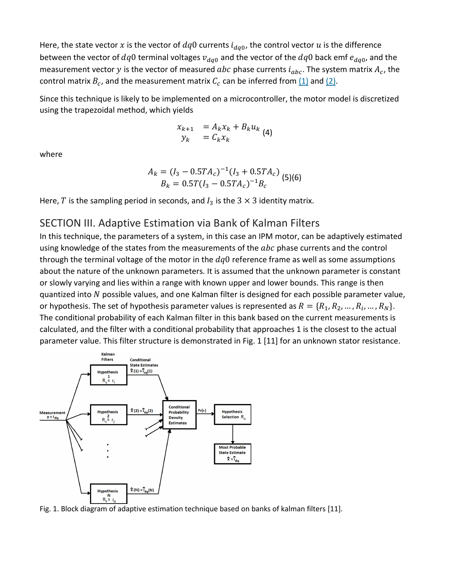Here, the state vector x is the vector of  $dq0$  currents  $i_{d,q0}$ , the control vector u is the difference between the vector of  $dq0$  terminal voltages  $v_{dq0}$  and the vector of the  $dq0$  back emf  $e_{dq0}$ , and the measurement vector y is the vector of measured abc phase currents  $i_{abc}$ . The system matrix  $A_c$ , the control matrix  $B_c$ , and the measurement matrix  $C_c$  can be inferred from  $(1)$  and  $(2)$ .

Since this technique is likely to be implemented on a microcontroller, the motor model is discretized using the trapezoidal method, which yields

$$
\begin{array}{rcl}\nx_{k+1} & = A_k x_k + B_k u_k \\
y_k & = C_k x_k\n\end{array} \tag{4}
$$

where

$$
A_k = (I_3 - 0.5TA_c)^{-1}(I_3 + 0.5TA_c)
$$
  
\n
$$
B_k = 0.5T(I_3 - 0.5TA_c)^{-1}B_c
$$
 (5)(6)

Here, T is the sampling period in seconds, and  $I_3$  is the 3  $\times$  3 identity matrix.

## SECTION III. Adaptive Estimation via Bank of Kalman Filters

In this technique, the parameters of a system, in this case an IPM motor, can be adaptively estimated using knowledge of the states from the measurements of the  $abc$  phase currents and the control through the terminal voltage of the motor in the  $dq0$  reference frame as well as some assumptions about the nature of the unknown parameters. It is assumed that the unknown parameter is constant or slowly varying and lies within a range with known upper and lower bounds. This range is then quantized into  $N$  possible values, and one Kalman filter is designed for each possible parameter value, or hypothesis. The set of hypothesis parameter values is represented as  $R = \{R_1, R_2, ..., R_i, ..., R_N\}.$ The conditional probability of each Kalman filter in this bank based on the current measurements is calculated, and the filter with a conditional probability that approaches 1 is the closest to the actual parameter value. This filter structure is demonstrated in Fig. 1 [11] for an unknown stator resistance.



Fig. 1. Block diagram of adaptive estimation technique based on banks of kalman filters [11].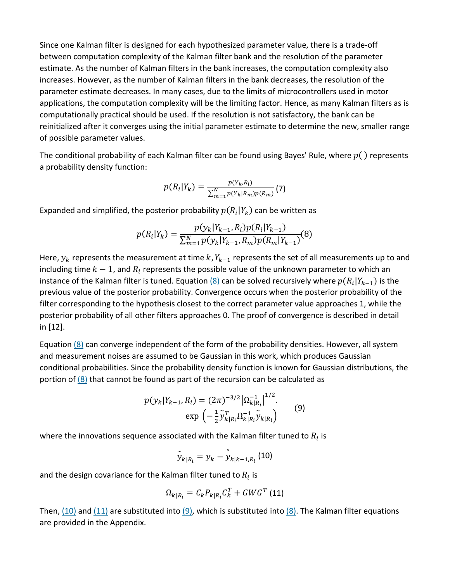Since one Kalman filter is designed for each hypothesized parameter value, there is a trade-off between computation complexity of the Kalman filter bank and the resolution of the parameter estimate. As the number of Kalman filters in the bank increases, the computation complexity also increases. However, as the number of Kalman filters in the bank decreases, the resolution of the parameter estimate decreases. In many cases, due to the limits of microcontrollers used in motor applications, the computation complexity will be the limiting factor. Hence, as many Kalman filters as is computationally practical should be used. If the resolution is not satisfactory, the bank can be reinitialized after it converges using the initial parameter estimate to determine the new, smaller range of possible parameter values.

The conditional probability of each Kalman filter can be found using Bayes' Rule, where  $p()$  represents a probability density function:

$$
p(R_i|Y_k) = \frac{p(Y_k, R_i)}{\sum_{m=1}^{N} p(Y_k|R_m)p(R_m)} (7)
$$

Expanded and simplified, the posterior probability  $p(R_i|Y_k)$  can be written as

$$
p(R_i|Y_k) = \frac{p(y_k|Y_{k-1}, R_i)p(R_i|Y_{k-1})}{\sum_{m=1}^{N} p(y_k|Y_{k-1}, R_m)p(R_m|Y_{k-1})}(8)
$$

Here,  $y_k$  represents the measurement at time k,  $Y_{k-1}$  represents the set of all measurements up to and including time  $k-1$ , and  $R_i$  represents the possible value of the unknown parameter to which an instance of the Kalman filter is tuned. Equation  $(8)$  can be solved recursively where  $p(R_i|Y_{k-1})$  is the previous value of the posterior probability. Convergence occurs when the posterior probability of the filter corresponding to the hypothesis closest to the correct parameter value approaches 1, while the posterior probability of all other filters approaches 0. The proof of convergence is described in detail in [12].

Equation [\(8\)](https://ieeexplore.ieee.org/document/#deqn8) can converge independent of the form of the probability densities. However, all system and measurement noises are assumed to be Gaussian in this work, which produces Gaussian conditional probabilities. Since the probability density function is known for Gaussian distributions, the portion of [\(8\)](https://ieeexplore.ieee.org/document/#deqn8) that cannot be found as part of the recursion can be calculated as

$$
p(y_k|Y_{k-1}, R_i) = (2\pi)^{-3/2} |\Omega_{k|R_i}^{-1}|^{1/2}.
$$
  
exp $\left(-\frac{1}{2} \tilde{y}_{k|R_i}^T \Omega_{k|R_i}^{-1} \tilde{y}_{k|R_i}\right)$  (9)

where the innovations sequence associated with the Kalman filter tuned to  $R_i$  is

$$
\tilde{y}_{k|R_i} = y_k - \hat{y}_{k|k-1,R_i} \text{ (10)}
$$

and the design covariance for the Kalman filter tuned to  $R_i$  is

$$
\Omega_{k|R_i} = C_k P_{k|R_i} C_k^T + GWG^T \text{ (11)}
$$

Then,  $(10)$  and  $(11)$  are substituted into  $(9)$ , which is substituted into  $(8)$ . The Kalman filter equations are provided in the Appendix.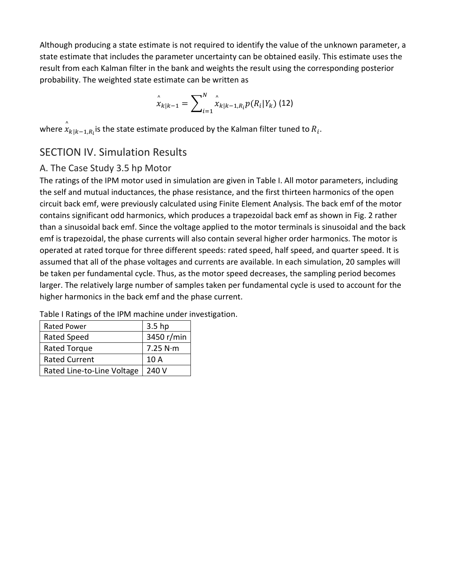Although producing a state estimate is not required to identify the value of the unknown parameter, a state estimate that includes the parameter uncertainty can be obtained easily. This estimate uses the result from each Kalman filter in the bank and weights the result using the corresponding posterior probability. The weighted state estimate can be written as

$$
\hat{x}_{k|k-1} = \sum_{i=1}^{N} \hat{x}_{k|k-1,R_i} p(R_i|Y_k)
$$
(12)

where  $\hat{x}$  $_{k|k-1,R_i}$ is the state estimate produced by the Kalman filter tuned to  $R_i$ .

## SECTION IV. Simulation Results

#### A. The Case Study 3.5 hp Motor

The ratings of the IPM motor used in simulation are given in Table I. All motor parameters, including the self and mutual inductances, the phase resistance, and the first thirteen harmonics of the open circuit back emf, were previously calculated using Finite Element Analysis. The back emf of the motor contains significant odd harmonics, which produces a trapezoidal back emf as shown in Fig. 2 rather than a sinusoidal back emf. Since the voltage applied to the motor terminals is sinusoidal and the back emf is trapezoidal, the phase currents will also contain several higher order harmonics. The motor is operated at rated torque for three different speeds: rated speed, half speed, and quarter speed. It is assumed that all of the phase voltages and currents are available. In each simulation, 20 samples will be taken per fundamental cycle. Thus, as the motor speed decreases, the sampling period becomes larger. The relatively large number of samples taken per fundamental cycle is used to account for the higher harmonics in the back emf and the phase current.

| <b>Rated Power</b>         | 3.5 <sub>hp</sub> |
|----------------------------|-------------------|
| Rated Speed                | 3450 r/min        |
| Rated Torque               | 7.25 N·m          |
| <b>Rated Current</b>       | 10 A              |
| Rated Line-to-Line Voltage | 240 V             |

Table I Ratings of the IPM machine under investigation.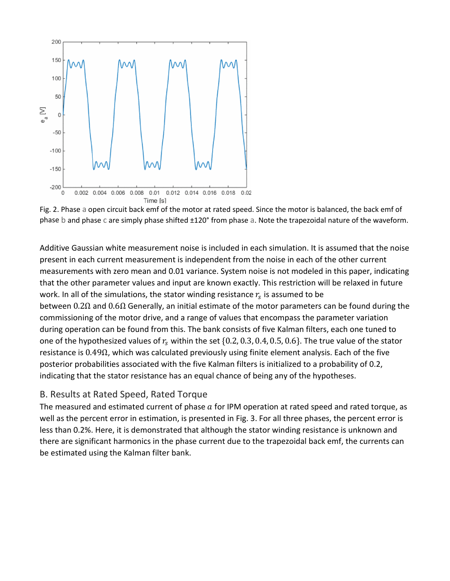

Fig. 2. Phase a open circuit back emf of the motor at rated speed. Since the motor is balanced, the back emf of phase b and phase c are simply phase shifted ±120° from phase a. Note the trapezoidal nature of the waveform.

Additive Gaussian white measurement noise is included in each simulation. It is assumed that the noise present in each current measurement is independent from the noise in each of the other current measurements with zero mean and 0.01 variance. System noise is not modeled in this paper, indicating that the other parameter values and input are known exactly. This restriction will be relaxed in future work. In all of the simulations, the stator winding resistance  $r_s$  is assumed to be between  $0.2\Omega$  and  $0.6\Omega$  Generally, an initial estimate of the motor parameters can be found during the commissioning of the motor drive, and a range of values that encompass the parameter variation during operation can be found from this. The bank consists of five Kalman filters, each one tuned to one of the hypothesized values of  $r_s$  within the set {0.2, 0.3, 0.4, 0.5, 0.6}. The true value of the stator resistance is 0.49Ω, which was calculated previously using finite element analysis. Each of the five posterior probabilities associated with the five Kalman filters is initialized to a probability of 0.2, indicating that the stator resistance has an equal chance of being any of the hypotheses.

#### B. Results at Rated Speed, Rated Torque

The measured and estimated current of phase  $a$  for IPM operation at rated speed and rated torque, as well as the percent error in estimation, is presented in Fig. 3. For all three phases, the percent error is less than 0.2%. Here, it is demonstrated that although the stator winding resistance is unknown and there are significant harmonics in the phase current due to the trapezoidal back emf, the currents can be estimated using the Kalman filter bank.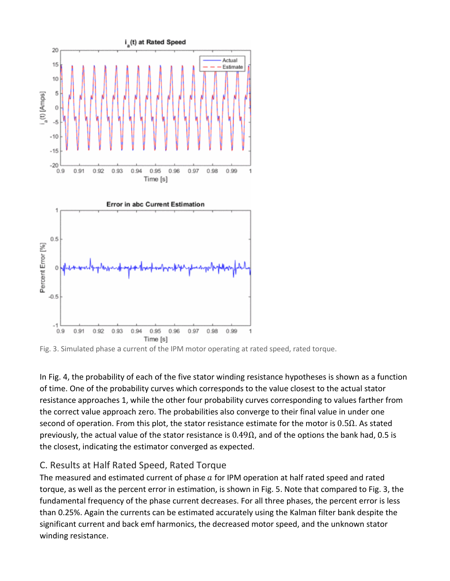

Fig. 3. Simulated phase a current of the IPM motor operating at rated speed, rated torque.

In Fig. 4, the probability of each of the five stator winding resistance hypotheses is shown as a function of time. One of the probability curves which corresponds to the value closest to the actual stator resistance approaches 1, while the other four probability curves corresponding to values farther from the correct value approach zero. The probabilities also converge to their final value in under one second of operation. From this plot, the stator resistance estimate for the motor is  $0.5\Omega$ . As stated previously, the actual value of the stator resistance is  $0.49\Omega$ , and of the options the bank had, 0.5 is the closest, indicating the estimator converged as expected.

#### C. Results at Half Rated Speed, Rated Torque

The measured and estimated current of phase  $a$  for IPM operation at half rated speed and rated torque, as well as the percent error in estimation, is shown in Fig. 5. Note that compared to Fig. 3, the fundamental frequency of the phase current decreases. For all three phases, the percent error is less than 0.25%. Again the currents can be estimated accurately using the Kalman filter bank despite the significant current and back emf harmonics, the decreased motor speed, and the unknown stator winding resistance.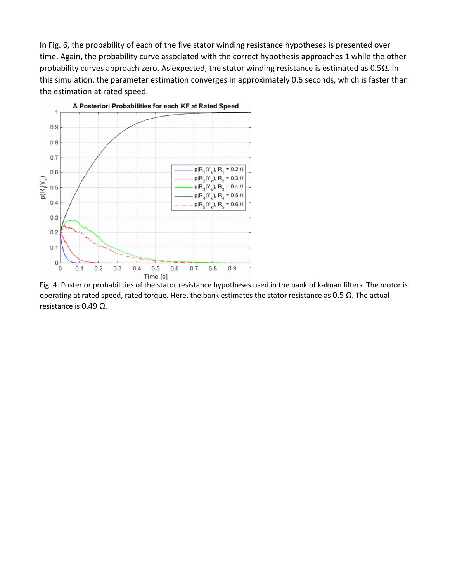In Fig. 6, the probability of each of the five stator winding resistance hypotheses is presented over time. Again, the probability curve associated with the correct hypothesis approaches 1 while the other probability curves approach zero. As expected, the stator winding resistance is estimated as  $0.5\Omega$ . In this simulation, the parameter estimation converges in approximately 0.6 seconds, which is faster than the estimation at rated speed.



Fig. 4. Posterior probabilities of the stator resistance hypotheses used in the bank of kalman filters. The motor is operating at rated speed, rated torque. Here, the bank estimates the stator resistance as 0.5  $Ω$ . The actual resistance is 0.49 Ω.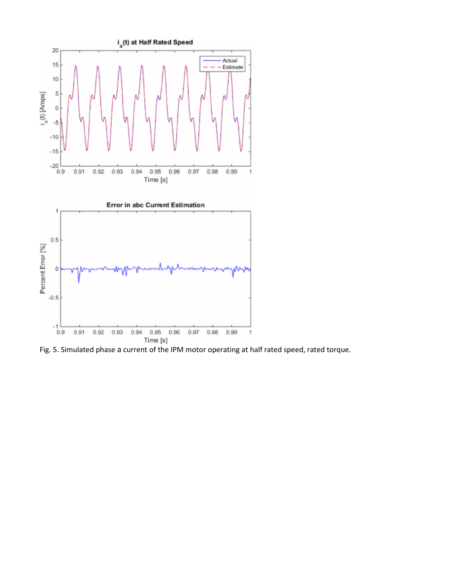

Fig. 5. Simulated phase a current of the IPM motor operating at half rated speed, rated torque.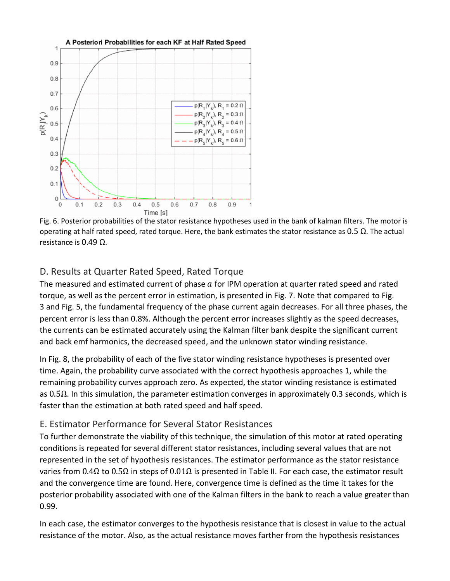

Fig. 6. Posterior probabilities of the stator resistance hypotheses used in the bank of kalman filters. The motor is operating at half rated speed, rated torque. Here, the bank estimates the stator resistance as 0.5  $Ω$ . The actual resistance is 0.49 Ω.

#### D. Results at Quarter Rated Speed, Rated Torque

The measured and estimated current of phase  $a$  for IPM operation at quarter rated speed and rated torque, as well as the percent error in estimation, is presented in Fig. 7. Note that compared to Fig. 3 and Fig. 5, the fundamental frequency of the phase current again decreases. For all three phases, the percent error is less than 0.8%. Although the percent error increases slightly as the speed decreases, the currents can be estimated accurately using the Kalman filter bank despite the significant current and back emf harmonics, the decreased speed, and the unknown stator winding resistance.

In Fig. 8, the probability of each of the five stator winding resistance hypotheses is presented over time. Again, the probability curve associated with the correct hypothesis approaches 1, while the remaining probability curves approach zero. As expected, the stator winding resistance is estimated as 0.5Ω. In this simulation, the parameter estimation converges in approximately 0.3 seconds, which is faster than the estimation at both rated speed and half speed.

#### E. Estimator Performance for Several Stator Resistances

To further demonstrate the viability of this technique, the simulation of this motor at rated operating conditions is repeated for several different stator resistances, including several values that are not represented in the set of hypothesis resistances. The estimator performance as the stator resistance varies from 0.4Ω to 0.5Ω in steps of 0.01Ω is presented in Table II. For each case, the estimator result and the convergence time are found. Here, convergence time is defined as the time it takes for the posterior probability associated with one of the Kalman filters in the bank to reach a value greater than 0.99.

In each case, the estimator converges to the hypothesis resistance that is closest in value to the actual resistance of the motor. Also, as the actual resistance moves farther from the hypothesis resistances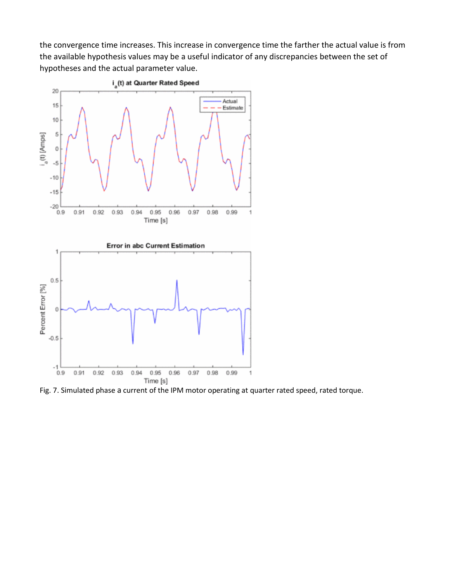the convergence time increases. This increase in convergence time the farther the actual value is from the available hypothesis values may be a useful indicator of any discrepancies between the set of hypotheses and the actual parameter value.



Fig. 7. Simulated phase a current of the IPM motor operating at quarter rated speed, rated torque.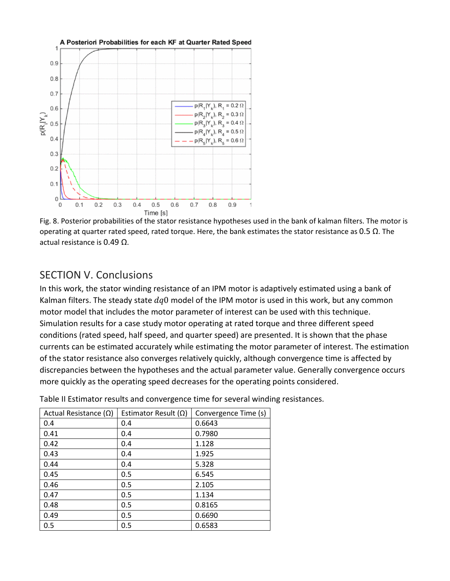

Fig. 8. Posterior probabilities of the stator resistance hypotheses used in the bank of kalman filters. The motor is operating at quarter rated speed, rated torque. Here, the bank estimates the stator resistance as 0.5  $Ω$ . The actual resistance is 0.49 Ω.

## SECTION V. Conclusions

In this work, the stator winding resistance of an IPM motor is adaptively estimated using a bank of Kalman filters. The steady state  $d q0$  model of the IPM motor is used in this work, but any common motor model that includes the motor parameter of interest can be used with this technique. Simulation results for a case study motor operating at rated torque and three different speed conditions (rated speed, half speed, and quarter speed) are presented. It is shown that the phase currents can be estimated accurately while estimating the motor parameter of interest. The estimation of the stator resistance also converges relatively quickly, although convergence time is affected by discrepancies between the hypotheses and the actual parameter value. Generally convergence occurs more quickly as the operating speed decreases for the operating points considered.

| Actual Resistance $(\Omega)$ | Estimator Result $(\Omega)$ | Convergence Time (s) |
|------------------------------|-----------------------------|----------------------|
| 0.4                          | 0.4                         | 0.6643               |
| 0.41                         | 0.4                         | 0.7980               |
| 0.42                         | 0.4                         | 1.128                |
| 0.43                         | 0.4                         | 1.925                |
| 0.44                         | 0.4                         | 5.328                |
| 0.45                         | 0.5                         | 6.545                |
| 0.46                         | 0.5                         | 2.105                |
| 0.47                         | 0.5                         | 1.134                |
| 0.48                         | 0.5                         | 0.8165               |
| 0.49                         | 0.5                         | 0.6690               |
| 0.5                          | 0.5                         | 0.6583               |

Table II Estimator results and convergence time for several winding resistances.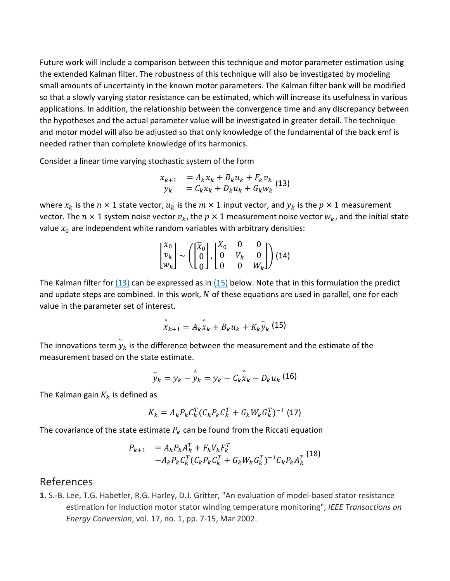Future work will include a comparison between this technique and motor parameter estimation using the extended Kalman filter. The robustness of this technique will also be investigated by modeling small amounts of uncertainty in the known motor parameters. The Kalman filter bank will be modified so that a slowly varying stator resistance can be estimated, which will increase its usefulness in various applications. In addition, the relationship between the convergence time and any discrepancy between the hypotheses and the actual parameter value will be investigated in greater detail. The technique and motor model will also be adjusted so that only knowledge of the fundamental of the back emf is needed rather than complete knowledge of its harmonics.

Consider a linear time varying stochastic system of the form

$$
\begin{array}{rcl}\nx_{k+1} & = A_k x_k + B_k u_k + F_k v_k \\
y_k & = C_k x_k + D_k u_k + G_k w_k\n\end{array} \tag{13}
$$

where  $x_k$  is the  $n \times 1$  state vector,  $u_k$  is the  $m \times 1$  input vector, and  $y_k$  is the  $p \times 1$  measurement vector. The  $n \times 1$  system noise vector  $v_k$ , the  $p \times 1$  measurement noise vector  $w_k$ , and the initial state value  $x_0$  are independent white random variables with arbitrary densities:

$$
\begin{bmatrix} x_0 \\ v_k \\ w_k \end{bmatrix} \sim \left( \begin{bmatrix} \overline{x}_0 \\ 0 \\ 0 \end{bmatrix}, \begin{bmatrix} X_0 & 0 & 0 \\ 0 & V_k & 0 \\ 0 & 0 & W_k \end{bmatrix} \right) (14)
$$

The Kalman filter for [\(13\)](https://ieeexplore.ieee.org/document/#deqn13) can be expressed as in [\(15\)](https://ieeexplore.ieee.org/document/#deqn15) below. Note that in this formulation the predict and update steps are combined. In this work,  $N$  of these equations are used in parallel, one for each value in the parameter set of interest.

$$
\hat{x}_{k+1} = A_k \hat{x}_k + B_k u_k + K_k \tilde{y}_k
$$
 (15)

The innovations term  $\widetilde{y}_k$  is the difference between the measurement and the estimate of the measurement based on the state estimate.

$$
\tilde{y}_k = y_k - \hat{y}_k = y_k - C_k \hat{x}_k - D_k u_k
$$
 (16)

The Kalman gain  $K_k$  is defined as

$$
K_k = A_k P_k C_k^T (C_k P_k C_k^T + G_k W_k G_k^T)^{-1}
$$
 (17)

The covariance of the state estimate  $P_k$  can be found from the Riccati equation

$$
P_{k+1} = A_k P_k A_k^T + F_k V_k F_k^T
$$
  
- $A_k P_k C_k^T (C_k P_k C_k^T + G_k W_k G_k^T)^{-1} C_k P_k A_k^T$  (18)

#### References

**1.** S.-B. Lee, T.G. Habetler, R.G. Harley, D.J. Gritter, "An evaluation of model-based stator resistance estimation for induction motor stator winding temperature monitoring", *IEEE Transactions on Energy Conversion*, vol. 17, no. 1, pp. 7-15, Mar 2002.